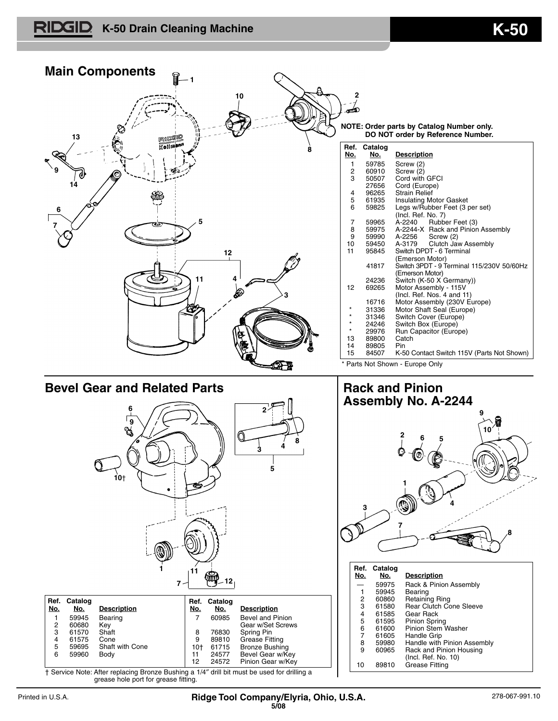

† Service Note: After replacing Bronze Bushing a 1/4″ drill bit must be used for drilling a grease hole port for grease fitting.